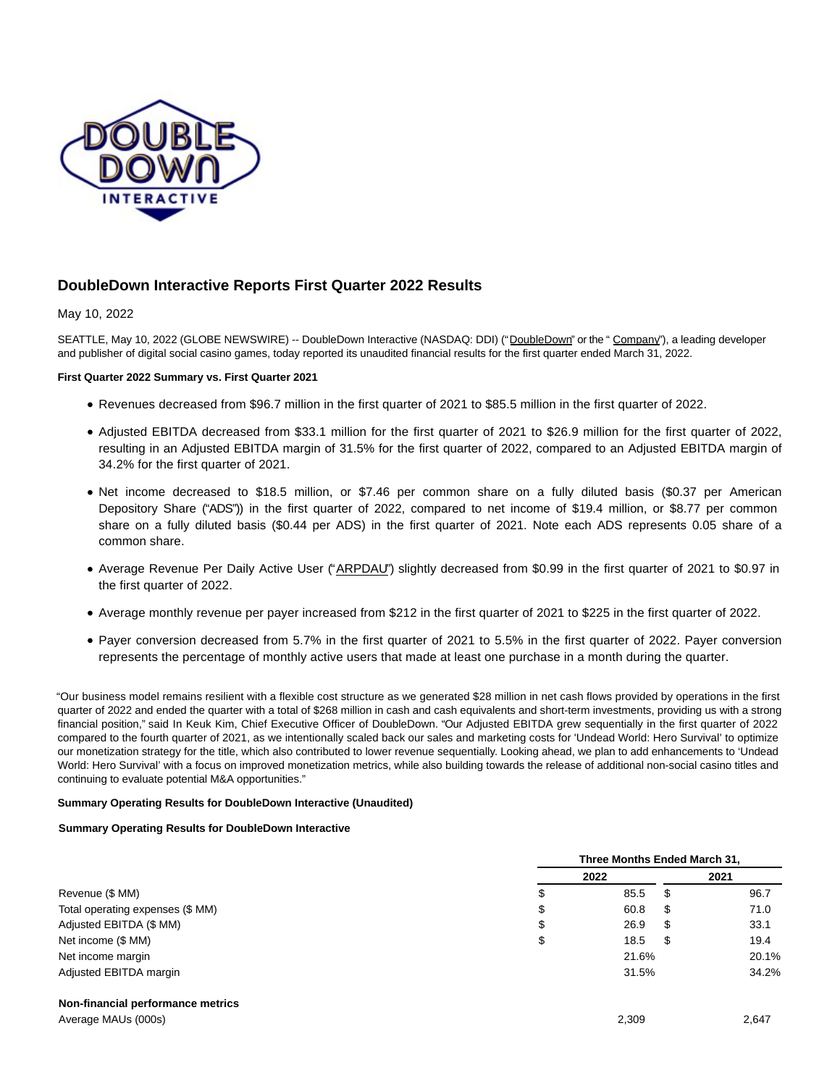

# **DoubleDown Interactive Reports First Quarter 2022 Results**

May 10, 2022

SEATTLE, May 10, 2022 (GLOBE NEWSWIRE) -- DoubleDown Interactive (NASDAQ: DDI) ("DoubleDown" or the " Company"), a leading developer and publisher of digital social casino games, today reported its unaudited financial results for the first quarter ended March 31, 2022.

### **First Quarter 2022 Summary vs. First Quarter 2021**

- Revenues decreased from \$96.7 million in the first quarter of 2021 to \$85.5 million in the first quarter of 2022.
- Adjusted EBITDA decreased from \$33.1 million for the first quarter of 2021 to \$26.9 million for the first quarter of 2022, resulting in an Adjusted EBITDA margin of 31.5% for the first quarter of 2022, compared to an Adjusted EBITDA margin of 34.2% for the first quarter of 2021.
- Net income decreased to \$18.5 million, or \$7.46 per common share on a fully diluted basis (\$0.37 per American Depository Share ("ADS")) in the first quarter of 2022, compared to net income of \$19.4 million, or \$8.77 per common share on a fully diluted basis (\$0.44 per ADS) in the first quarter of 2021. Note each ADS represents 0.05 share of a common share.
- Average Revenue Per Daily Active User ("ARPDAU") slightly decreased from \$0.99 in the first quarter of 2021 to \$0.97 in the first quarter of 2022.
- Average monthly revenue per payer increased from \$212 in the first quarter of 2021 to \$225 in the first quarter of 2022.
- Payer conversion decreased from 5.7% in the first quarter of 2021 to 5.5% in the first quarter of 2022. Payer conversion represents the percentage of monthly active users that made at least one purchase in a month during the quarter.

"Our business model remains resilient with a flexible cost structure as we generated \$28 million in net cash flows provided by operations in the first quarter of 2022 and ended the quarter with a total of \$268 million in cash and cash equivalents and short-term investments, providing us with a strong financial position," said In Keuk Kim, Chief Executive Officer of DoubleDown. "Our Adjusted EBITDA grew sequentially in the first quarter of 2022 compared to the fourth quarter of 2021, as we intentionally scaled back our sales and marketing costs for 'Undead World: Hero Survival' to optimize our monetization strategy for the title, which also contributed to lower revenue sequentially. Looking ahead, we plan to add enhancements to 'Undead World: Hero Survival' with a focus on improved monetization metrics, while also building towards the release of additional non-social casino titles and continuing to evaluate potential M&A opportunities."

### **Summary Operating Results for DoubleDown Interactive (Unaudited)**

### **Summary Operating Results for DoubleDown Interactive**

|                                  | Three Months Ended March 31, |              |       |
|----------------------------------|------------------------------|--------------|-------|
|                                  |                              | 2022         | 2021  |
| Revenue (\$ MM)                  | \$                           | 85.5<br>-S   | 96.7  |
| Total operating expenses (\$ MM) | \$                           | 60.8<br>S    | 71.0  |
| Adjusted EBITDA (\$ MM)          | \$                           | 26.9<br>\$   | 33.1  |
| Net income (\$ MM)               | \$                           | 18.5<br>- \$ | 19.4  |
| Net income margin                |                              | 21.6%        | 20.1% |
| Adjusted EBITDA margin           |                              | 31.5%        | 34.2% |
|                                  |                              |              |       |

### **Non-financial performance metrics**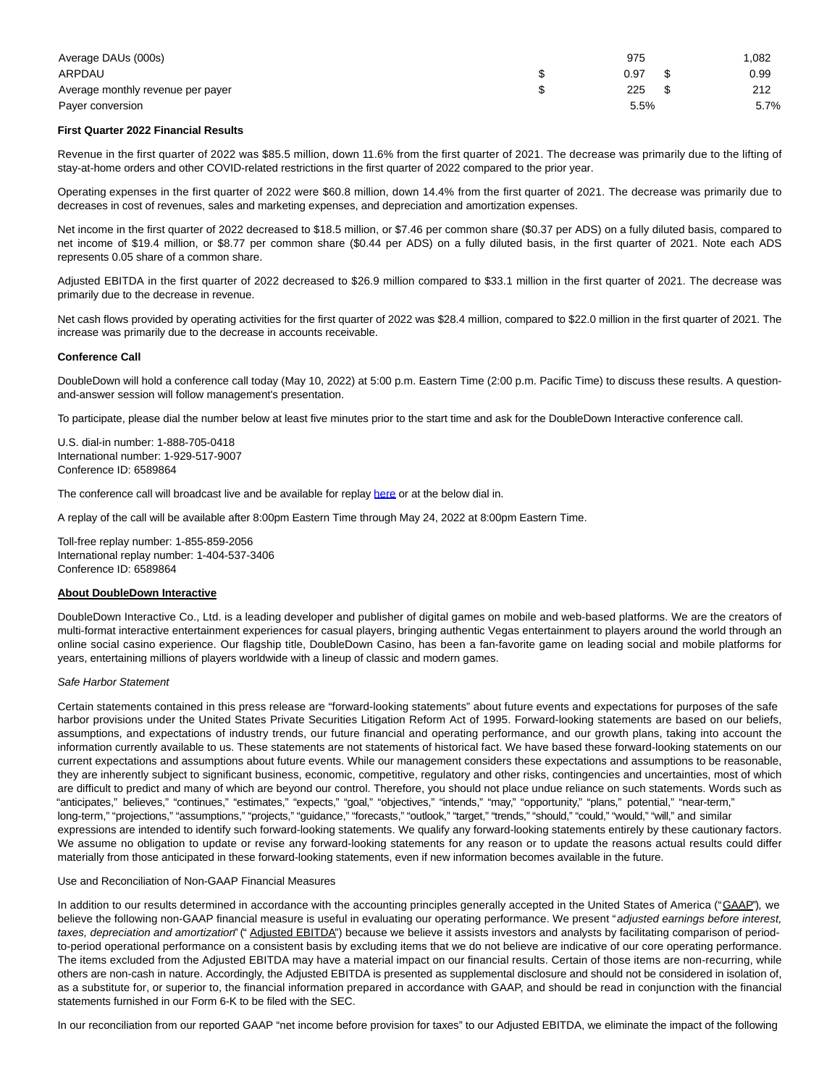| Average DAUs (000s)               | 975  | 1.082 |
|-----------------------------------|------|-------|
| ARPDAU                            | 0.97 | 0.99  |
| Average monthly revenue per payer | 225  | 212   |
| Payer conversion                  | 5.5% | 5.7%  |

#### **First Quarter 2022 Financial Results**

Revenue in the first quarter of 2022 was \$85.5 million, down 11.6% from the first quarter of 2021. The decrease was primarily due to the lifting of stay-at-home orders and other COVID-related restrictions in the first quarter of 2022 compared to the prior year.

Operating expenses in the first quarter of 2022 were \$60.8 million, down 14.4% from the first quarter of 2021. The decrease was primarily due to decreases in cost of revenues, sales and marketing expenses, and depreciation and amortization expenses.

Net income in the first quarter of 2022 decreased to \$18.5 million, or \$7.46 per common share (\$0.37 per ADS) on a fully diluted basis, compared to net income of \$19.4 million, or \$8.77 per common share (\$0.44 per ADS) on a fully diluted basis, in the first quarter of 2021. Note each ADS represents 0.05 share of a common share.

Adjusted EBITDA in the first quarter of 2022 decreased to \$26.9 million compared to \$33.1 million in the first quarter of 2021. The decrease was primarily due to the decrease in revenue.

Net cash flows provided by operating activities for the first quarter of 2022 was \$28.4 million, compared to \$22.0 million in the first quarter of 2021. The increase was primarily due to the decrease in accounts receivable.

#### **Conference Call**

DoubleDown will hold a conference call today (May 10, 2022) at 5:00 p.m. Eastern Time (2:00 p.m. Pacific Time) to discuss these results. A questionand-answer session will follow management's presentation.

To participate, please dial the number below at least five minutes prior to the start time and ask for the DoubleDown Interactive conference call.

U.S. dial-in number: 1-888-705-0418 International number: 1-929-517-9007 Conference ID: 6589864

The conference call will broadcast live and be available for replay [here o](https://www.globenewswire.com/Tracker?data=IScsLA5iXYw-gqN4L8fGrgdvIRxnlXp3_JtSLRLtgSUtvJL-Fs4PDdKRmJiNm_9LT6zLbD2Xid2SO8_Xo_lnPD3ABPIall_8cqUmB7G4LFE=)r at the below dial in.

A replay of the call will be available after 8:00pm Eastern Time through May 24, 2022 at 8:00pm Eastern Time.

Toll-free replay number: 1-855-859-2056 International replay number: 1-404-537-3406 Conference ID: 6589864

#### **About DoubleDown Interactive**

DoubleDown Interactive Co., Ltd. is a leading developer and publisher of digital games on mobile and web-based platforms. We are the creators of multi-format interactive entertainment experiences for casual players, bringing authentic Vegas entertainment to players around the world through an online social casino experience. Our flagship title, DoubleDown Casino, has been a fan-favorite game on leading social and mobile platforms for years, entertaining millions of players worldwide with a lineup of classic and modern games.

#### Safe Harbor Statement

Certain statements contained in this press release are "forward-looking statements" about future events and expectations for purposes of the safe harbor provisions under the United States Private Securities Litigation Reform Act of 1995. Forward-looking statements are based on our beliefs, assumptions, and expectations of industry trends, our future financial and operating performance, and our growth plans, taking into account the information currently available to us. These statements are not statements of historical fact. We have based these forward-looking statements on our current expectations and assumptions about future events. While our management considers these expectations and assumptions to be reasonable, they are inherently subject to significant business, economic, competitive, regulatory and other risks, contingencies and uncertainties, most of which are difficult to predict and many of which are beyond our control. Therefore, you should not place undue reliance on such statements. Words such as "anticipates," believes," "continues," "estimates," "expects," "goal," "objectives," "intends," "may," "opportunity," "plans," potential," "near-term," long-term," "projections," "assumptions," "projects," "guidance," "forecasts," "outlook," "target," "trends," "should," "could," "would," "will," and similar expressions are intended to identify such forward-looking statements. We qualify any forward-looking statements entirely by these cautionary factors. We assume no obligation to update or revise any forward-looking statements for any reason or to update the reasons actual results could differ materially from those anticipated in these forward-looking statements, even if new information becomes available in the future.

#### Use and Reconciliation of Non-GAAP Financial Measures

In addition to our results determined in accordance with the accounting principles generally accepted in the United States of America ("GAAP"), we believe the following non-GAAP financial measure is useful in evaluating our operating performance. We present "adjusted earnings before interest, taxes, depreciation and amortization" (" Adjusted EBITDA") because we believe it assists investors and analysts by facilitating comparison of periodto-period operational performance on a consistent basis by excluding items that we do not believe are indicative of our core operating performance. The items excluded from the Adjusted EBITDA may have a material impact on our financial results. Certain of those items are non-recurring, while others are non-cash in nature. Accordingly, the Adjusted EBITDA is presented as supplemental disclosure and should not be considered in isolation of, as a substitute for, or superior to, the financial information prepared in accordance with GAAP, and should be read in conjunction with the financial statements furnished in our Form 6-K to be filed with the SEC.

In our reconciliation from our reported GAAP "net income before provision for taxes" to our Adjusted EBITDA, we eliminate the impact of the following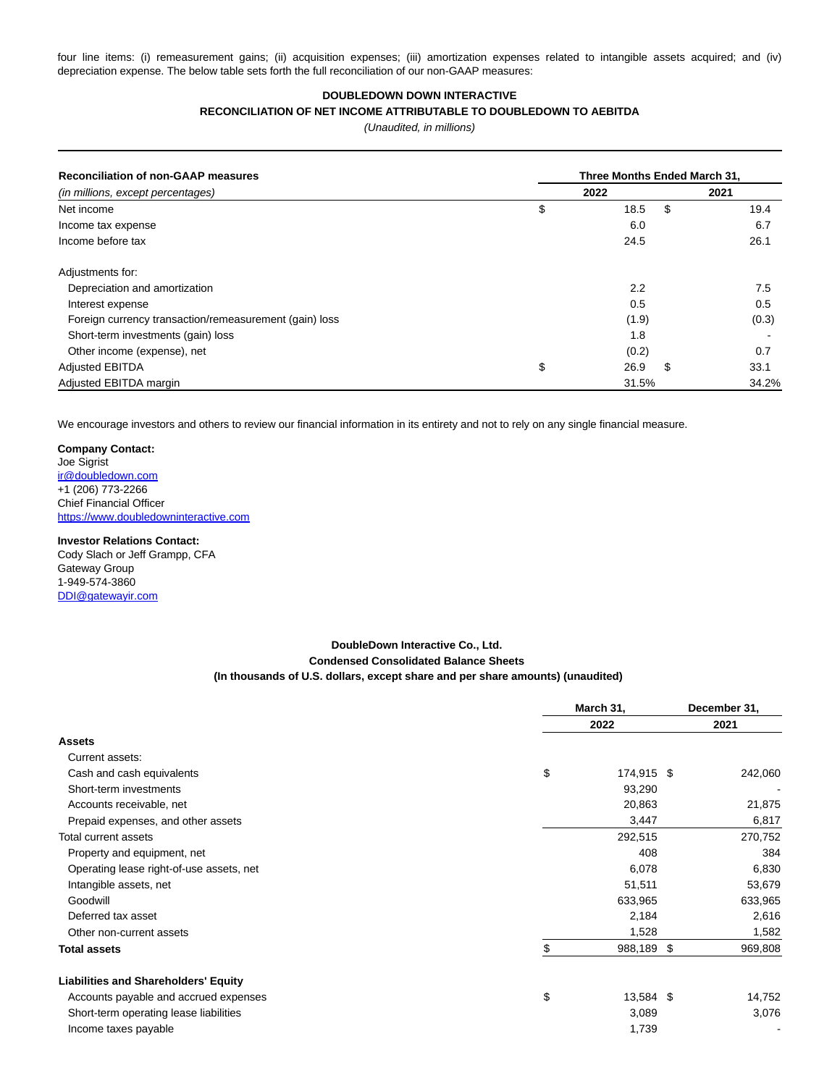four line items: (i) remeasurement gains; (ii) acquisition expenses; (iii) amortization expenses related to intangible assets acquired; and (iv) depreciation expense. The below table sets forth the full reconciliation of our non-GAAP measures:

### **DOUBLEDOWN DOWN INTERACTIVE**

### **RECONCILIATION OF NET INCOME ATTRIBUTABLE TO DOUBLEDOWN TO AEBITDA**

(Unaudited, in millions)

| <b>Reconciliation of non-GAAP measures</b>             | Three Months Ended March 31, |       |  |  |
|--------------------------------------------------------|------------------------------|-------|--|--|
| (in millions, except percentages)                      | 2022                         | 2021  |  |  |
| Net income                                             | \$<br>18.5<br>\$             | 19.4  |  |  |
| Income tax expense                                     | 6.0                          | 6.7   |  |  |
| Income before tax                                      | 24.5                         | 26.1  |  |  |
| Adjustments for:                                       |                              |       |  |  |
| Depreciation and amortization                          | 2.2                          | 7.5   |  |  |
| Interest expense                                       | 0.5                          | 0.5   |  |  |
| Foreign currency transaction/remeasurement (gain) loss | (1.9)                        | (0.3) |  |  |
| Short-term investments (gain) loss                     | 1.8                          |       |  |  |
| Other income (expense), net                            | (0.2)                        | 0.7   |  |  |
| <b>Adjusted EBITDA</b>                                 | \$<br>26.9<br>\$             | 33.1  |  |  |
| Adjusted EBITDA margin                                 | 31.5%                        | 34.2% |  |  |

We encourage investors and others to review our financial information in its entirety and not to rely on any single financial measure.

### **Company Contact:** Joe Sigrist [ir@doubledown.com](https://www.globenewswire.com/Tracker?data=So1OBIxCjmNKeHGZ88hxdxnLT7su60MgWOa3FpZxAC6HaKebG3IrAMYwrg7urAA6wUahGNK7-yCyo-P4nG7Y1Q==) +1 (206) 773-2266 Chief Financial Officer

[https://www.doubledowninteractive.com](https://www.globenewswire.com/Tracker?data=SUrY3KSxsO8J3oQL6DjKbICxuopuurjwe6lRYzdHXxJsGWHm4PbU1MWhXe9lV1R6nkUNu9btuB29wUBLx0aRd2-9sDYKbEOACwC_W5Q-j2FW9mex9PxFLfjENSmFw75PG3C9PFi7KaxRZTTC6dWqhg==)

**Investor Relations Contact:** Cody Slach or Jeff Grampp, CFA Gateway Group 1-949-574-3860 [DDI@gatewayir.com](https://www.globenewswire.com/Tracker?data=Hdjminz768wlKOb8whn_8X7jO-veYutAOeiGSpJYSEZLzBqLjbsVEbLYihXTgE6LHcwDzwaEC30dG5w5wfbRow==)

## **DoubleDown Interactive Co., Ltd. Condensed Consolidated Balance Sheets (In thousands of U.S. dollars, except share and per share amounts) (unaudited)**

|                                             | March 31,        |         |
|---------------------------------------------|------------------|---------|
|                                             | 2022             | 2021    |
| <b>Assets</b>                               |                  |         |
| Current assets:                             |                  |         |
| Cash and cash equivalents                   | \$<br>174,915 \$ | 242,060 |
| Short-term investments                      | 93,290           |         |
| Accounts receivable, net                    | 20,863           | 21,875  |
| Prepaid expenses, and other assets          | 3,447            | 6,817   |
| Total current assets                        | 292,515          | 270,752 |
| Property and equipment, net                 | 408              | 384     |
| Operating lease right-of-use assets, net    | 6,078            | 6,830   |
| Intangible assets, net                      | 51,511           | 53,679  |
| Goodwill                                    | 633,965          | 633,965 |
| Deferred tax asset                          | 2,184            | 2,616   |
| Other non-current assets                    | 1,528            | 1,582   |
| <b>Total assets</b>                         | \$<br>988,189 \$ | 969,808 |
| <b>Liabilities and Shareholders' Equity</b> |                  |         |
| Accounts payable and accrued expenses       | \$<br>13,584 \$  | 14,752  |
| Short-term operating lease liabilities      | 3,089            | 3,076   |
| Income taxes payable                        | 1,739            |         |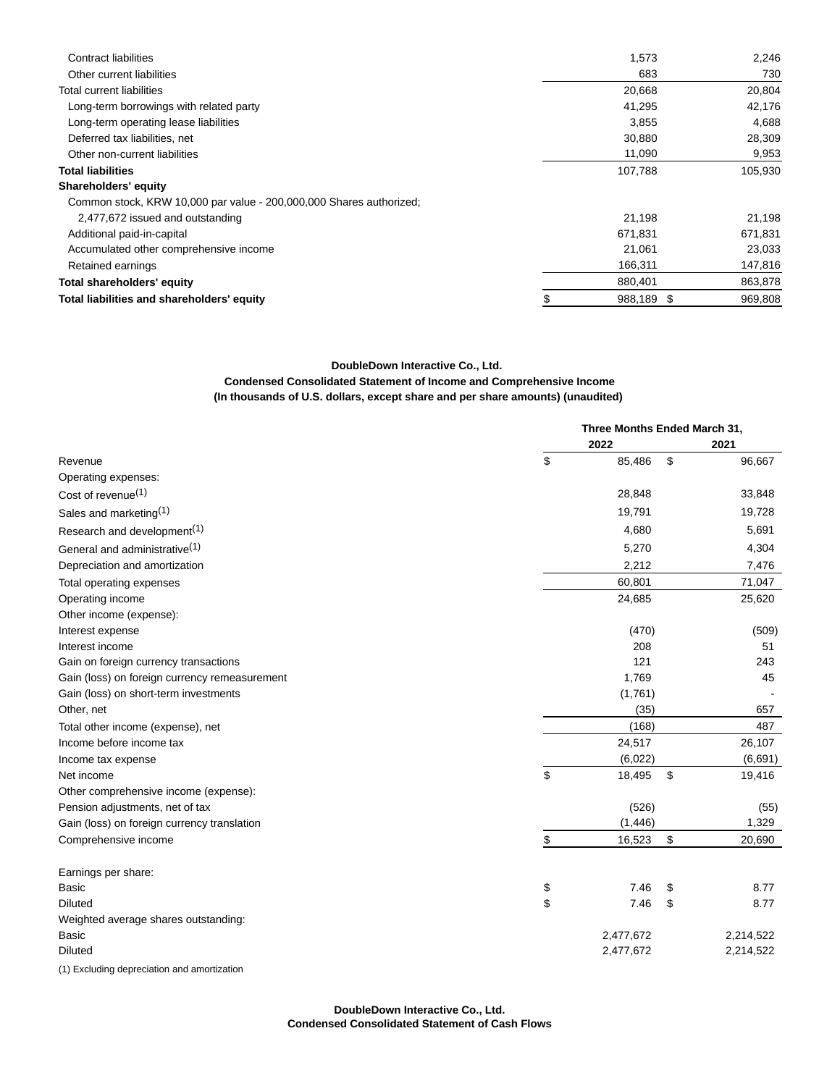| Contract liabilities                                                | 1,573          | 2,246   |
|---------------------------------------------------------------------|----------------|---------|
| Other current liabilities                                           | 683            | 730     |
| <b>Total current liabilities</b>                                    | 20,668         | 20,804  |
| Long-term borrowings with related party                             | 41,295         | 42,176  |
| Long-term operating lease liabilities                               | 3,855          | 4,688   |
| Deferred tax liabilities, net                                       | 30,880         | 28,309  |
| Other non-current liabilities                                       | 11,090         | 9,953   |
| <b>Total liabilities</b>                                            | 107,788        | 105,930 |
| Shareholders' equity                                                |                |         |
| Common stock, KRW 10,000 par value - 200,000,000 Shares authorized; |                |         |
| 2,477,672 issued and outstanding                                    | 21,198         | 21,198  |
| Additional paid-in-capital                                          | 671,831        | 671,831 |
| Accumulated other comprehensive income                              | 21,061         | 23,033  |
| Retained earnings                                                   | 166,311        | 147,816 |
| <b>Total shareholders' equity</b>                                   | 880,401        | 863,878 |
| Total liabilities and shareholders' equity                          | 988,189<br>-\$ | 969,808 |

#### **DoubleDown Interactive Co., Ltd.**

## **Condensed Consolidated Statement of Income and Comprehensive Income (In thousands of U.S. dollars, except share and per share amounts) (unaudited)**

|                                               | Three Months Ended March 31, |           |    |           |
|-----------------------------------------------|------------------------------|-----------|----|-----------|
|                                               |                              | 2022      |    | 2021      |
| Revenue                                       | \$                           | 85,486    | \$ | 96,667    |
| Operating expenses:                           |                              |           |    |           |
| Cost of revenue <sup>(1)</sup>                |                              | 28,848    |    | 33,848    |
| Sales and marketing <sup>(1)</sup>            |                              | 19,791    |    | 19,728    |
| Research and development <sup>(1)</sup>       |                              | 4,680     |    | 5,691     |
| General and administrative <sup>(1)</sup>     |                              | 5,270     |    | 4,304     |
| Depreciation and amortization                 |                              | 2,212     |    | 7,476     |
| Total operating expenses                      |                              | 60,801    |    | 71,047    |
| Operating income                              |                              | 24,685    |    | 25,620    |
| Other income (expense):                       |                              |           |    |           |
| Interest expense                              |                              | (470)     |    | (509)     |
| Interest income                               |                              | 208       |    | 51        |
| Gain on foreign currency transactions         |                              | 121       |    | 243       |
| Gain (loss) on foreign currency remeasurement |                              | 1,769     |    | 45        |
| Gain (loss) on short-term investments         |                              | (1,761)   |    |           |
| Other, net                                    |                              | (35)      |    | 657       |
| Total other income (expense), net             |                              | (168)     |    | 487       |
| Income before income tax                      |                              | 24,517    |    | 26,107    |
| Income tax expense                            |                              | (6,022)   |    | (6,691)   |
| Net income                                    | \$                           | 18,495    | \$ | 19,416    |
| Other comprehensive income (expense):         |                              |           |    |           |
| Pension adjustments, net of tax               |                              | (526)     |    | (55)      |
| Gain (loss) on foreign currency translation   |                              | (1, 446)  |    | 1,329     |
| Comprehensive income                          | \$                           | 16,523    | \$ | 20,690    |
| Earnings per share:                           |                              |           |    |           |
| Basic                                         | \$                           | 7.46      | \$ | 8.77      |
| <b>Diluted</b>                                | \$                           | 7.46      | \$ | 8.77      |
| Weighted average shares outstanding:          |                              |           |    |           |
| <b>Basic</b>                                  |                              | 2,477,672 |    | 2,214,522 |
| Diluted                                       |                              | 2,477,672 |    | 2,214,522 |

(1) Excluding depreciation and amortization

**DoubleDown Interactive Co., Ltd. Condensed Consolidated Statement of Cash Flows**